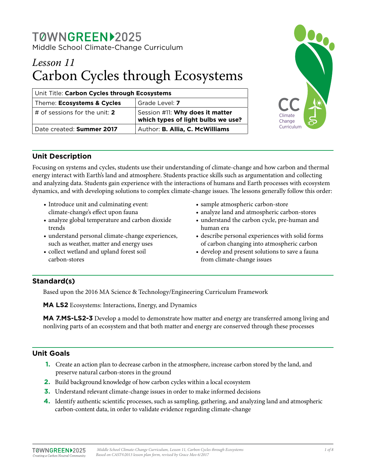# TØWNGREEN12025 Middle School Climate-Change Curriculum

# *Lesson 11* Carbon Cycles through Ecosystems

| Unit Title: Carbon Cycles through Ecosystems |                                                                       |  |
|----------------------------------------------|-----------------------------------------------------------------------|--|
| Theme: Ecosystems & Cycles                   | Grade Level: 7                                                        |  |
| $\vert$ # of sessions for the unit: <b>2</b> | Session #11: Why does it matter<br>which types of light bulbs we use? |  |
| Date created: Summer 2017                    | Author: B. Allia, C. McWilliams                                       |  |



# **Unit Description**

Focusing on systems and cycles, students use their understanding of climate-change and how carbon and thermal energy interact with Earth's land and atmosphere. Students practice skills such as argumentation and collecting and analyzing data. Students gain experience with the interactions of humans and Earth processes with ecosystem dynamics, and with developing solutions to complex climate-change issues. The lessons generally follow this order:

- Introduce unit and culminating event: climate-change's effect upon fauna
- analyze global temperature and carbon dioxide trends
- understand personal climate-change experiences, such as weather, matter and energy uses
- collect wetland and upland forest soil carbon-stores
- sample atmospheric carbon-store
- analyze land and atmospheric carbon-stores
- understand the carbon cycle, pre-human and human era
- describe personal experiences with solid forms of carbon changing into atmospheric carbon
- develop and present solutions to save a fauna from climate-change issues

# **Standard(s)**

Based upon the 2016 MA Science & Technology/Engineering Curriculum Framework

**MA LS2** Ecosystems: Interactions, Energy, and Dynamics

**MA 7.MS-LS2-3** Develop a model to demonstrate how matter and energy are transferred among living and nonliving parts of an ecosystem and that both matter and energy are conserved through these processes

# **Unit Goals**

- **1.** Create an action plan to decrease carbon in the atmosphere, increase carbon stored by the land, and preserve natural carbon-stores in the ground
- **2.** Build background knowledge of how carbon cycles within a local ecosystem
- **3.** Understand relevant climate-change issues in order to make informed decisions
- **4.** Identify authentic scientific processes, such as sampling, gathering, and analyzing land and atmospheric carbon-content data, in order to validate evidence regarding climate-change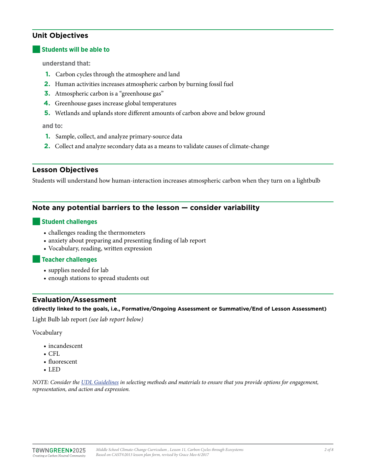# **Unit Objectives**

#### **Students will be able to**

**understand that:** 

- **1.** Carbon cycles through the atmosphere and land
- **2.** Human activities increases atmospheric carbon by burning fossil fuel
- **3.** Atmospheric carbon is a "greenhouse gas"
- **4.** Greenhouse gases increase global temperatures
- **5.** Wetlands and uplands store different amounts of carbon above and below ground

**and to:**

- **1.** Sample, collect, and analyze primary-source data
- **2.** Collect and analyze secondary data as a means to validate causes of climate-change

#### **Lesson Objectives**

Students will understand how human-interaction increases atmospheric carbon when they turn on a lightbulb

#### **Note any potential barriers to the lesson — consider variability**

#### ■**Student challenges**

- challenges reading the thermometers
- anxiety about preparing and presenting finding of lab report
- Vocabulary, reading, written expression

#### ■**Teacher challenges**

- supplies needed for lab
- enough stations to spread students out

## **Evaluation/Assessment**

**(directly linked to the goals, i.e., Formative/Ongoing Assessment or Summative/End of Lesson Assessment)**

Light Bulb lab report *(see lab report below)*

Vocabulary

- incandescent
- $•$  CFL
- fluorescent
- LED

*NOTE: Consider the [UDL Guidelines](http://bit.ly/1d5bjtS) in selecting methods and materials to ensure that you provide options for engagement, representation, and action and expression.*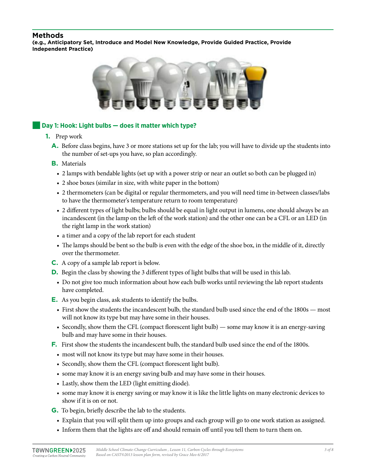## **Methods**

**(e.g., Anticipatory Set, Introduce and Model New Knowledge, Provide Guided Practice, Provide Independent Practice)**



#### Day 1: Hook: Light bulbs – does it matter which type?

- **1.** Prep work
	- **A.** Before class begins, have 3 or more stations set up for the lab; you will have to divide up the students into the number of set-ups you have, so plan accordingly.
	- **B.** Materials
		- 2 lamps with bendable lights (set up with a power strip or near an outlet so both can be plugged in)
		- 2 shoe boxes (similar in size, with white paper in the bottom)
		- 2 thermometers (can be digital or regular thermometers, and you will need time in-between classes/labs to have the thermometer's temperature return to room temperature)
		- 2 different types of light bulbs; bulbs should be equal in light output in lumens, one should always be an incandescent (in the lamp on the left of the work station) and the other one can be a CFL or an LED (in the right lamp in the work station)
		- a timer and a copy of the lab report for each student
		- The lamps should be bent so the bulb is even with the edge of the shoe box, in the middle of it, directly over the thermometer.
	- **C.** A copy of a sample lab report is below.
	- **D.** Begin the class by showing the 3 different types of light bulbs that will be used in this lab.
	- Do not give too much information about how each bulb works until reviewing the lab report students have completed.
	- **E.** As you begin class, ask students to identify the bulbs.
		- First show the students the incandescent bulb, the standard bulb used since the end of the 1800s most will not know its type but may have some in their houses.
		- Secondly, show them the CFL (compact florescent light bulb) some may know it is an energy-saving bulb and may have some in their houses.
	- **F.** First show the students the incandescent bulb, the standard bulb used since the end of the 1800s.
		- most will not know its type but may have some in their houses.
		- Secondly, show them the CFL (compact florescent light bulb).
		- some may know it is an energy saving bulb and may have some in their houses.
		- Lastly, show them the LED (light emitting diode).
		- some may know it is energy saving or may know it is like the little lights on many electronic devices to show if it is on or not.
	- **G.** To begin, briefly describe the lab to the students.
		- Explain that you will split them up into groups and each group will go to one work station as assigned.
		- Inform them that the lights are off and should remain off until you tell them to turn them on.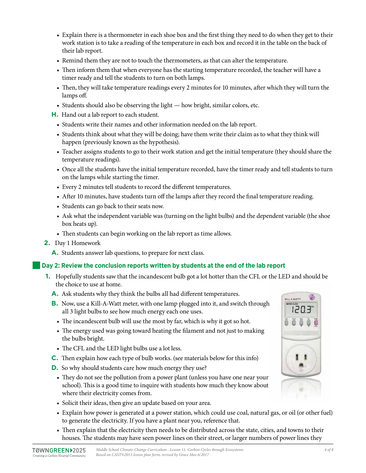- Explain there is a thermometer in each shoe box and the first thing they need to do when they get to their work station is to take a reading of the temperature in each box and record it in the table on the back of their lab report.
- Remind them they are not to touch the thermometers, as that can alter the temperature.
- Then inform them that when everyone has the starting temperature recorded, the teacher will have a timer ready and tell the students to turn on both lamps.
- Then, they will take temperature readings every 2 minutes for 10 minutes, after which they will turn the lamps off.
- Students should also be observing the light how bright, similar colors, etc.
- **H.** Hand out a lab report to each student.
	- Students write their names and other information needed on the lab report.
	- Students think about what they will be doing; have them write their claim as to what they think will happen (previously known as the hypothesis).
	- Teacher assigns students to go to their work station and get the initial temperature (they should share the temperature readings).
	- Once all the students have the initial temperature recorded, have the timer ready and tell students to turn on the lamps while starting the timer.
	- Every 2 minutes tell students to record the different temperatures.
	- After 10 minutes, have students turn off the lamps after they record the final temperature reading.
	- Students can go back to their seats now.
	- Ask what the independent variable was (turning on the light bulbs) and the dependent variable (the shoe box heats up).
	- Then students can begin working on the lab report as time allows.
- **2.** Day 1 Homework
	- **A.** Students answer lab questions, to prepare for next class.

#### Day 2: Review the conclusion reports written by students at the end of the lab report

- **1.** Hopefully students saw that the incandescent bulb got a lot hotter than the CFL or the LED and should be the choice to use at home.
	- **A.** Ask students why they think the bulbs all had different temperatures.
	- **B.** Now, use a Kill-A-Watt meter, with one lamp plugged into it, and switch through all 3 light bulbs to see how much energy each one uses.
		- The incandescent bulb will use the most by far, which is why it got so hot.
		- The energy used was going toward heating the filament and not just to making the bulbs bright.
		- The CFL and the LED light bulbs use a lot less.
	- **C.** Then explain how each type of bulb works. (see materials below for this info)
	- **D.** So why should students care how much energy they use?
		- They do not see the pollution from a power plant (unless you have one near your school). This is a good time to inquire with students how much they know about where their electricity comes from.
		- Solicit their ideas, then give an update based on your area.
		- Explain how power is generated at a power station, which could use coal, natural gas, or oil (or other fuel) to generate the electricity. If you have a plant near you, reference that.
		- Then explain that the electricity then needs to be distributed across the state, cities, and towns to their houses. The students may have seen power lines on their street, or larger numbers of power lines they



**CLE A WATT**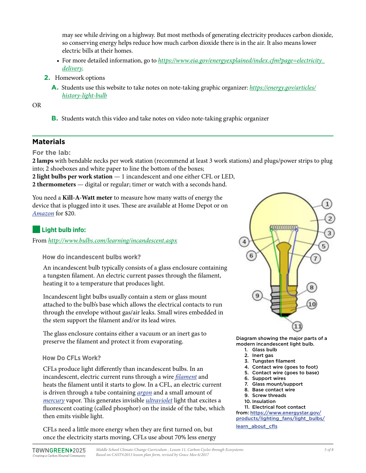may see while driving on a highway. But most methods of generating electricity produces carbon dioxide, so conserving energy helps reduce how much carbon dioxide there is in the air. It also means lower electric bills at their homes.

- For more detailed information, go to *[https://www.eia.gov/energyexplained/index.cfm?page=electricity\\_](https://www.eia.gov/energyexplained/index.cfm?page=electricity_delivery) [delivery](https://www.eia.gov/energyexplained/index.cfm?page=electricity_delivery)*.
- **2.** Homework options
	- **A.** Students use this website to take notes on note-taking graphic organizer: *[https://energy.gov/articles/](https://energy.gov/articles/history-light-bulb) [history-light-bulb](https://energy.gov/articles/history-light-bulb)*

OR

**B.** Students watch this video and take notes on video note-taking graphic organizer

# **Materials**

**For the lab:** 

**2 lamps** with bendable necks per work station (recommend at least 3 work stations) and plugs/power strips to plug into; 2 shoeboxes and white paper to line the bottom of the boxes;

**2 light bulbs per work station** — 1 incandescent and one either CFL or LED, **2 thermometers** — digital or regular; timer or watch with a seconds hand.

You need a **Kill-A-Watt meter** to measure how many watts of energy the device that is plugged into it uses. These are available at Home Depot or on *[Amazon](https://www.amazon.com/P3-P4400-Electricity-Usage-Monitor/dp/B00009MDBU/ref=sr_1_2?ie=UTF8&qid=1506521622&sr=8-2&keywords=kill--watt)* for \$20.

# ■**Light bulb info:**

From *<http://www.bulbs.com/learning/incandescent.aspx>*

**How do incandescent bulbs work?**

An incandescent bulb typically consists of a glass enclosure containing a tungsten filament. An electric current passes through the filament, heating it to a temperature that produces light.

Incandescent light bulbs usually contain a stem or glass mount attached to the bulb's base which allows the electrical contacts to run through the envelope without gas/air leaks. Small wires embedded in the stem support the filament and/or its lead wires.

The glass enclosure contains either a vacuum or an inert gas to preserve the filament and protect it from evaporating.

#### **How Do CFLs Work?**

CFLs produce light differently than incandescent bulbs. In an incandescent, electric current runs through a wire *[filament](https://www.energystar.gov/products/lighting_fans/light_bulbs/cfl_glossary#filament)* and heats the filament until it starts to glow. In a CFL, an electric current is driven through a tube containing *[argon](https://www.energystar.gov/products/lighting_fans/light_bulbs/cfl_glossary#argon)* and a small amount of *[mercury](https://www.energystar.gov/products/lighting_fans/light_bulbs/cfl_glossary#mercury)* vapor. This generates invisible *[ultraviolet](https://www.energystar.gov/products/lighting_fans/light_bulbs/cfl_glossary#ultrav)* light that excites a fluorescent coating (called phosphor) on the inside of the tube, which then emits visible light.

CFLs need a little more energy when they are first turned on, but once the electricity starts moving, CFLs use about 70% less energy



Diagram showing the major parts of a modern incandescent light bulb.

- 1. Glass bulb
- 2. Inert gas
- 3. Tungsten filament
- 4. Contact wire (goes to foot)
- 5. Contact wire (goes to base)
- 6. Support wires
- 7. Glass mount/support
- 8. Base contact wire 9. Screw threads
- 
- 10. Insulation

11. Electrical foot contact from: [https://www.energystar.gov/](https://www.energystar.gov/products/lighting_fans/light_bulbs/learn_about_cflshttp://) [products/lighting\\_fans/light\\_bulbs/](https://www.energystar.gov/products/lighting_fans/light_bulbs/learn_about_cflshttp://)

[learn\\_about\\_cfls](https://www.energystar.gov/products/lighting_fans/light_bulbs/learn_about_cflshttp://)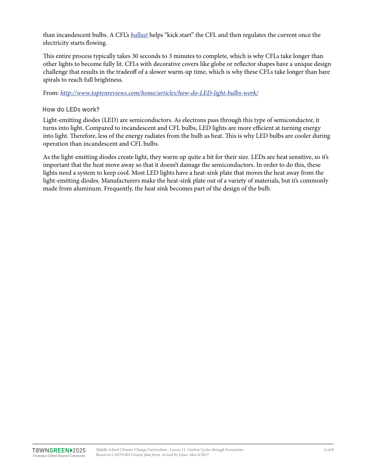than incandescent bulbs. A CFL's *[ballast](https://www.energystar.gov/products/lighting_fans/light_bulbs/cfl_glossary#ballast)* helps "kick start" the CFL and then regulates the current once the electricity starts flowing.

This entire process typically takes 30 seconds to 3 minutes to complete, which is why CFLs take longer than other lights to become fully lit. CFLs with decorative covers like globe or reflector shapes have a unique design challenge that results in the tradeoff of a slower warm-up time, which is why these CFLs take longer than bare spirals to reach full brightness.

From: *[http://www.toptenreviews.com/home/articles/how-do-LED-light-bulbs-work/](http://www.toptenreviews.com/home/articles/how-do-led-light-bulbs-work/http://)*

#### **How do LEDs work?**

Light-emitting diodes (LED) are semiconductors. As electrons pass through this type of semiconductor, it turns into light. Compared to incandescent and CFL bulbs, LED lights are more efficient at turning energy into light. Therefore, less of the energy radiates from the bulb as heat. This is why LED bulbs are cooler during operation than incandescent and CFL bulbs.

As the light-emitting diodes create light, they warm up quite a bit for their size. LEDs are heat sensitive, so it's important that the heat move away so that it doesn't damage the semiconductors. In order to do this, these lights need a system to keep cool. Most LED lights have a heat-sink plate that moves the heat away from the light-emitting diodes. Manufacturers make the heat-sink plate out of a variety of materials, but it's commonly made from aluminum. Frequently, the heat sink becomes part of the design of the bulb.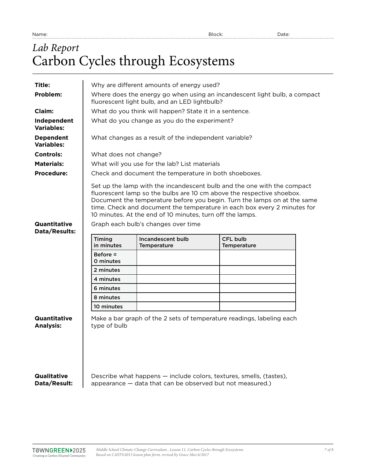# *Lab Report* Carbon Cycles through Ecosystems

| Title:                                  |                                                                                                                            | Why are different amounts of energy used?                                                        |                                                                                                                                                                                                                                                                                                          |  |  |
|-----------------------------------------|----------------------------------------------------------------------------------------------------------------------------|--------------------------------------------------------------------------------------------------|----------------------------------------------------------------------------------------------------------------------------------------------------------------------------------------------------------------------------------------------------------------------------------------------------------|--|--|
| Problem:                                | Where does the energy go when using an incandescent light bulb, a compact<br>fluorescent light bulb, and an LED lightbulb? |                                                                                                  |                                                                                                                                                                                                                                                                                                          |  |  |
| Claim:                                  | What do you think will happen? State it in a sentence.                                                                     |                                                                                                  |                                                                                                                                                                                                                                                                                                          |  |  |
| Independent<br><b>Variables:</b>        | What do you change as you do the experiment?                                                                               |                                                                                                  |                                                                                                                                                                                                                                                                                                          |  |  |
| <b>Dependent</b><br><b>Variables:</b>   | What changes as a result of the independent variable?                                                                      |                                                                                                  |                                                                                                                                                                                                                                                                                                          |  |  |
| <b>Controls:</b>                        | What does not change?                                                                                                      |                                                                                                  |                                                                                                                                                                                                                                                                                                          |  |  |
| <b>Materials:</b>                       | What will you use for the lab? List materials                                                                              |                                                                                                  |                                                                                                                                                                                                                                                                                                          |  |  |
| <b>Procedure:</b>                       | Check and document the temperature in both shoeboxes.                                                                      |                                                                                                  |                                                                                                                                                                                                                                                                                                          |  |  |
| Quantitative<br>Data/Results:           |                                                                                                                            | 10 minutes. At the end of 10 minutes, turn off the lamps.<br>Graph each bulb's changes over time | Set up the lamp with the incandescent bulb and the one with the compact<br>fluorescent lamp so the bulbs are 10 cm above the respective shoebox.<br>Document the temperature before you begin. Turn the lamps on at the same<br>time. Check and document the temperature in each box every 2 minutes for |  |  |
|                                         |                                                                                                                            |                                                                                                  |                                                                                                                                                                                                                                                                                                          |  |  |
|                                         | Timing<br>in minutes                                                                                                       | Incandescent bulb<br><b>Temperature</b>                                                          | <b>CFL bulb</b><br><b>Temperature</b>                                                                                                                                                                                                                                                                    |  |  |
|                                         | $Before =$<br>0 minutes                                                                                                    |                                                                                                  |                                                                                                                                                                                                                                                                                                          |  |  |
|                                         | 2 minutes                                                                                                                  |                                                                                                  |                                                                                                                                                                                                                                                                                                          |  |  |
|                                         | 4 minutes                                                                                                                  |                                                                                                  |                                                                                                                                                                                                                                                                                                          |  |  |
|                                         | 6 minutes                                                                                                                  |                                                                                                  |                                                                                                                                                                                                                                                                                                          |  |  |
|                                         | 8 minutes                                                                                                                  |                                                                                                  |                                                                                                                                                                                                                                                                                                          |  |  |
|                                         | 10 minutes                                                                                                                 |                                                                                                  |                                                                                                                                                                                                                                                                                                          |  |  |
| <b>Quantitative</b><br><b>Analysis:</b> | type of bulb                                                                                                               |                                                                                                  | Make a bar graph of the 2 sets of temperature readings, labeling each                                                                                                                                                                                                                                    |  |  |